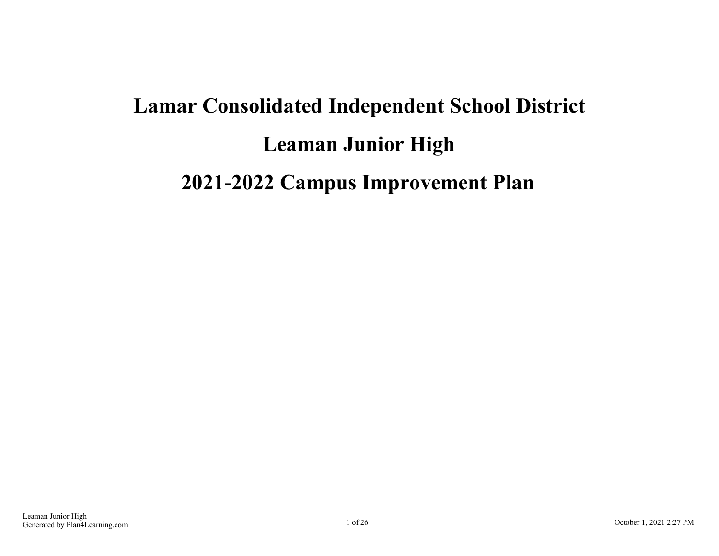# **Lamar Consolidated Independent School District Leaman Junior High 2021-2022 Campus Improvement Plan**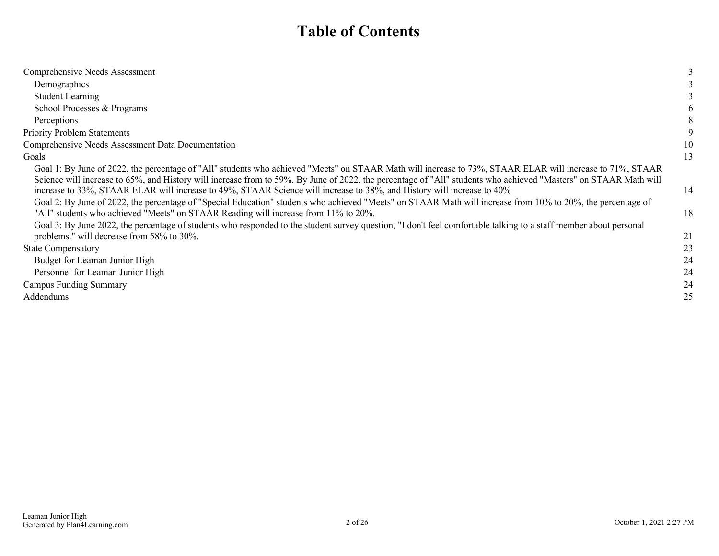## **Table of Contents**

| Comprehensive Needs Assessment                                                                                                                                                                                                                                                                                                                                                                                                                                       |          |
|----------------------------------------------------------------------------------------------------------------------------------------------------------------------------------------------------------------------------------------------------------------------------------------------------------------------------------------------------------------------------------------------------------------------------------------------------------------------|----------|
| Demographics                                                                                                                                                                                                                                                                                                                                                                                                                                                         |          |
| <b>Student Learning</b>                                                                                                                                                                                                                                                                                                                                                                                                                                              |          |
| School Processes & Programs                                                                                                                                                                                                                                                                                                                                                                                                                                          |          |
| Perceptions                                                                                                                                                                                                                                                                                                                                                                                                                                                          | 8        |
| <b>Priority Problem Statements</b>                                                                                                                                                                                                                                                                                                                                                                                                                                   | 9        |
| Comprehensive Needs Assessment Data Documentation                                                                                                                                                                                                                                                                                                                                                                                                                    | 10       |
| Goals                                                                                                                                                                                                                                                                                                                                                                                                                                                                | 13       |
| Goal 1: By June of 2022, the percentage of "All" students who achieved "Meets" on STAAR Math will increase to 73%, STAAR ELAR will increase to 71%, STAAR<br>Science will increase to 65%, and History will increase from to 59%. By June of 2022, the percentage of "All" students who achieved "Masters" on STAAR Math will<br>increase to 33%, STAAR ELAR will increase to 49%, STAAR Science will increase to 38%, and History will increase to 40%              | 14       |
| Goal 2: By June of 2022, the percentage of "Special Education" students who achieved "Meets" on STAAR Math will increase from 10% to 20%, the percentage of<br>"All" students who achieved "Meets" on STAAR Reading will increase from 11% to 20%.<br>Goal 3: By June 2022, the percentage of students who responded to the student survey question, "I don't feel comfortable talking to a staff member about personal<br>problems." will decrease from 58% to 30%. | 18<br>21 |
| <b>State Compensatory</b>                                                                                                                                                                                                                                                                                                                                                                                                                                            | 23       |
| Budget for Leaman Junior High                                                                                                                                                                                                                                                                                                                                                                                                                                        | 24       |
| Personnel for Leaman Junior High                                                                                                                                                                                                                                                                                                                                                                                                                                     | 24       |
| Campus Funding Summary                                                                                                                                                                                                                                                                                                                                                                                                                                               | 24       |
| Addendums                                                                                                                                                                                                                                                                                                                                                                                                                                                            | 25       |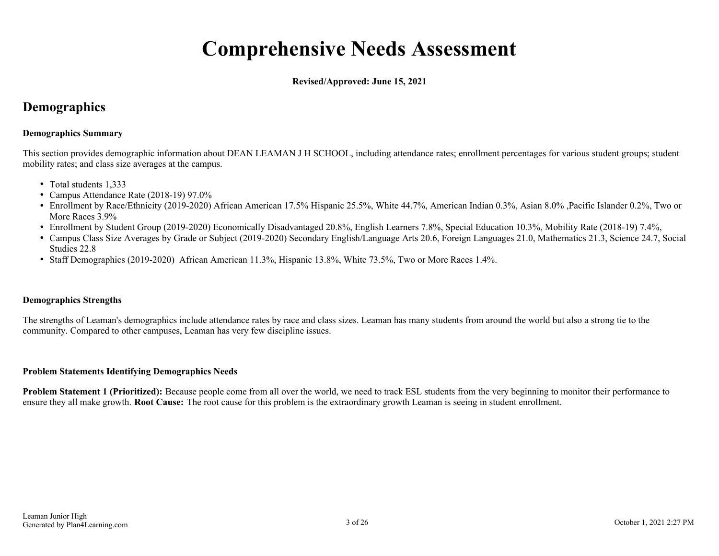## **Comprehensive Needs Assessment**

**Revised/Approved: June 15, 2021**

## <span id="page-2-0"></span>**Demographics**

### **Demographics Summary**

This section provides demographic information about DEAN LEAMAN J H SCHOOL, including attendance rates; enrollment percentages for various student groups; student mobility rates; and class size averages at the campus.

- Total students 1.333
- Campus Attendance Rate (2018-19) 97.0%
- Enrollment by Race/Ethnicity (2019-2020) African American 17.5% Hispanic 25.5%, White 44.7%, American Indian 0.3%, Asian 8.0% ,Pacific Islander 0.2%, Two or More Races 3.9%
- Enrollment by Student Group (2019-2020) Economically Disadvantaged 20.8%, English Learners 7.8%, Special Education 10.3%, Mobility Rate (2018-19) 7.4%,
- Campus Class Size Averages by Grade or Subject (2019-2020) Secondary English/Language Arts 20.6, Foreign Languages 21.0, Mathematics 21.3, Science 24.7, Social Studies 22.8
- Staff Demographics (2019-2020) African American 11.3%, Hispanic 13.8%, White 73.5%, Two or More Races 1.4%.

## **Demographics Strengths**

The strengths of Leaman's demographics include attendance rates by race and class sizes. Leaman has many students from around the world but also a strong tie to the community. Compared to other campuses, Leaman has very few discipline issues.

#### **Problem Statements Identifying Demographics Needs**

**Problem Statement 1 (Prioritized):** Because people come from all over the world, we need to track ESL students from the very beginning to monitor their performance to ensure they all make growth. **Root Cause:** The root cause for this problem is the extraordinary growth Leaman is seeing in student enrollment.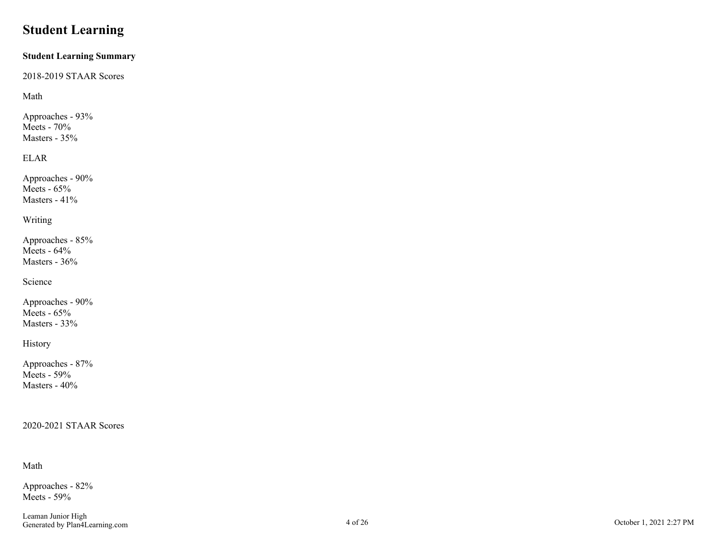## <span id="page-3-0"></span>**Student Learning**

#### **Student Learning Summary**

2018-2019 STAAR Scores

## Math

Approaches - 93% Meets - 70% Masters - 35%

## ELAR

Approaches - 90% Meets  $-65%$ Masters - 41%

## Writing

Approaches - 85% Meets - 64% Masters - 36%

## Science

Approaches - 90% Meets - 65% Masters - 33%

## History

Approaches - 87% Meets - 59% Masters - 40%

## 2020-2021 STAAR Scores

## Math

Approaches - 82% Meets - 59%

Leaman Junior High Examal Junior High Cotober 1, 2021 2:27 PM October 1, 2021 2:27 PM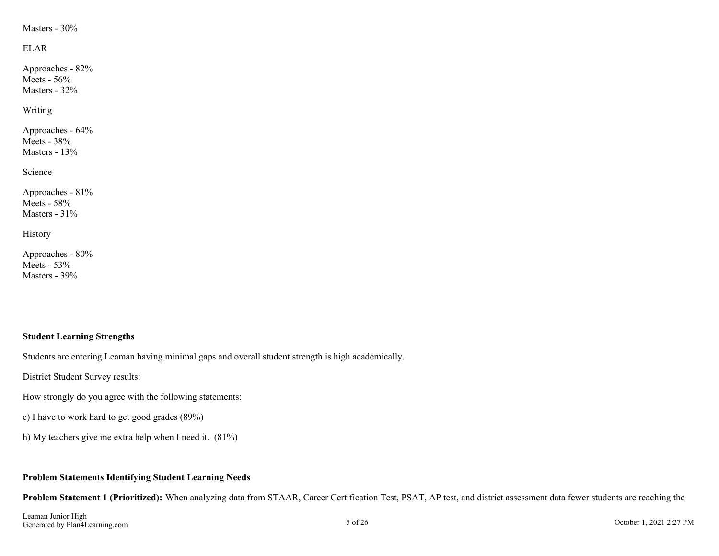### Masters - 30%

## ELAR

Approaches - 82% Meets -  $56%$ Masters - 32%

Writing

Approaches - 64% Meets - 38% Masters - 13%

Science

Approaches - 81% Meets - 58% Masters - 31%

History

Approaches - 80% Meets - 53% Masters - 39%

## **Student Learning Strengths**

Students are entering Leaman having minimal gaps and overall student strength is high academically.

District Student Survey results:

How strongly do you agree with the following statements:

c) I have to work hard to get good grades (89%)

h) My teachers give me extra help when I need it. (81%)

## **Problem Statements Identifying Student Learning Needs**

**Problem Statement 1 (Prioritized):** When analyzing data from STAAR, Career Certification Test, PSAT, AP test, and district assessment data fewer students are reaching the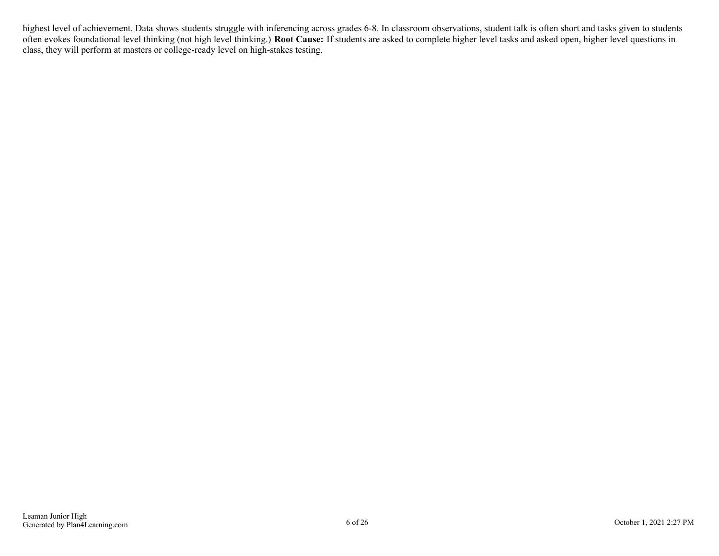highest level of achievement. Data shows students struggle with inferencing across grades 6-8. In classroom observations, student talk is often short and tasks given to students often evokes foundational level thinking (not high level thinking.) **Root Cause:** If students are asked to complete higher level tasks and asked open, higher level questions in class, they will perform at masters or college-ready level on high-stakes testing.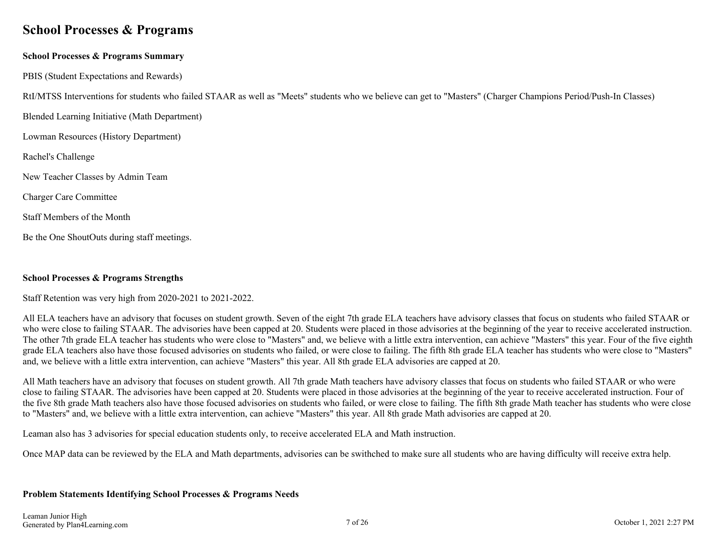## <span id="page-6-0"></span>**School Processes & Programs**

## **School Processes & Programs Summary**

PBIS (Student Expectations and Rewards)

RtI/MTSS Interventions for students who failed STAAR as well as "Meets" students who we believe can get to "Masters" (Charger Champions Period/Push-In Classes)

Blended Learning Initiative (Math Department)

Lowman Resources (History Department)

Rachel's Challenge

New Teacher Classes by Admin Team

Charger Care Committee

Staff Members of the Month

Be the One ShoutOuts during staff meetings.

## **School Processes & Programs Strengths**

Staff Retention was very high from 2020-2021 to 2021-2022.

All ELA teachers have an advisory that focuses on student growth. Seven of the eight 7th grade ELA teachers have advisory classes that focus on students who failed STAAR or who were close to failing STAAR. The advisories have been capped at 20. Students were placed in those advisories at the beginning of the year to receive accelerated instruction. The other 7th grade ELA teacher has students who were close to "Masters" and, we believe with a little extra intervention, can achieve "Masters" this year. Four of the five eighth grade ELA teachers also have those focused advisories on students who failed, or were close to failing. The fifth 8th grade ELA teacher has students who were close to "Masters" and, we believe with a little extra intervention, can achieve "Masters" this year. All 8th grade ELA advisories are capped at 20.

All Math teachers have an advisory that focuses on student growth. All 7th grade Math teachers have advisory classes that focus on students who failed STAAR or who were close to failing STAAR. The advisories have been capped at 20. Students were placed in those advisories at the beginning of the year to receive accelerated instruction. Four of the five 8th grade Math teachers also have those focused advisories on students who failed, or were close to failing. The fifth 8th grade Math teacher has students who were close to "Masters" and, we believe with a little extra intervention, can achieve "Masters" this year. All 8th grade Math advisories are capped at 20.

Leaman also has 3 advisories for special education students only, to receive accelerated ELA and Math instruction.

Once MAP data can be reviewed by the ELA and Math departments, advisories can be swithched to make sure all students who are having difficulty will receive extra help.

#### **Problem Statements Identifying School Processes & Programs Needs**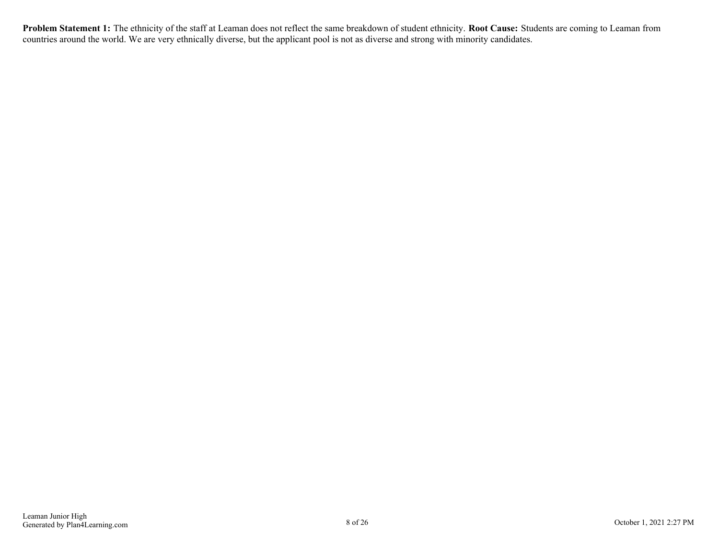**Problem Statement 1:** The ethnicity of the staff at Leaman does not reflect the same breakdown of student ethnicity. **Root Cause:** Students are coming to Leaman from countries around the world. We are very ethnically diverse, but the applicant pool is not as diverse and strong with minority candidates.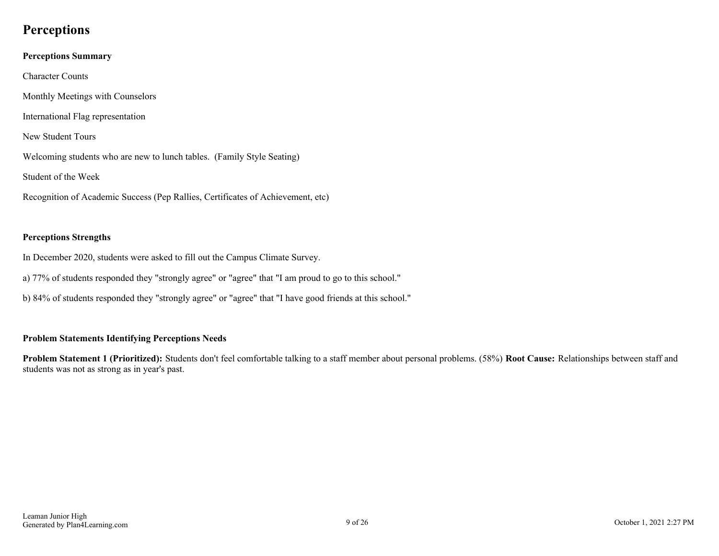## <span id="page-8-0"></span>**Perceptions**

## **Perceptions Summary** Character Counts Monthly Meetings with Counselors International Flag representation New Student Tours Welcoming students who are new to lunch tables. (Family Style Seating) Student of the Week Recognition of Academic Success (Pep Rallies, Certificates of Achievement, etc)

## **Perceptions Strengths**

In December 2020, students were asked to fill out the Campus Climate Survey.

- a) 77% of students responded they "strongly agree" or "agree" that "I am proud to go to this school."
- b) 84% of students responded they "strongly agree" or "agree" that "I have good friends at this school."

## **Problem Statements Identifying Perceptions Needs**

**Problem Statement 1 (Prioritized):** Students don't feel comfortable talking to a staff member about personal problems. (58%) **Root Cause:** Relationships between staff and students was not as strong as in year's past.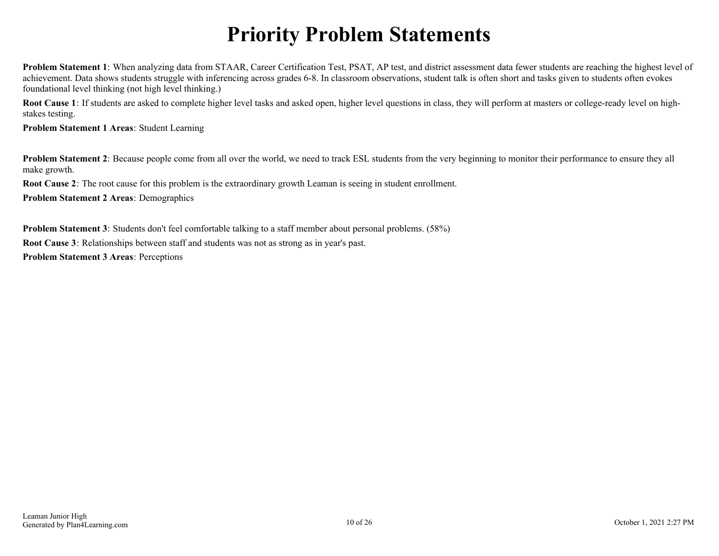## **Priority Problem Statements**

<span id="page-9-0"></span>**Problem Statement 1**: When analyzing data from STAAR, Career Certification Test, PSAT, AP test, and district assessment data fewer students are reaching the highest level of achievement. Data shows students struggle with inferencing across grades 6-8. In classroom observations, student talk is often short and tasks given to students often evokes foundational level thinking (not high level thinking.)

**Root Cause 1**: If students are asked to complete higher level tasks and asked open, higher level questions in class, they will perform at masters or college-ready level on highstakes testing.

**Problem Statement 1 Areas**: Student Learning

**Problem Statement 2**: Because people come from all over the world, we need to track ESL students from the very beginning to monitor their performance to ensure they all make growth.

**Root Cause 2**: The root cause for this problem is the extraordinary growth Leaman is seeing in student enrollment.

**Problem Statement 2 Areas**: Demographics

**Problem Statement 3**: Students don't feel comfortable talking to a staff member about personal problems. (58%) **Root Cause 3**: Relationships between staff and students was not as strong as in year's past. **Problem Statement 3 Areas**: Perceptions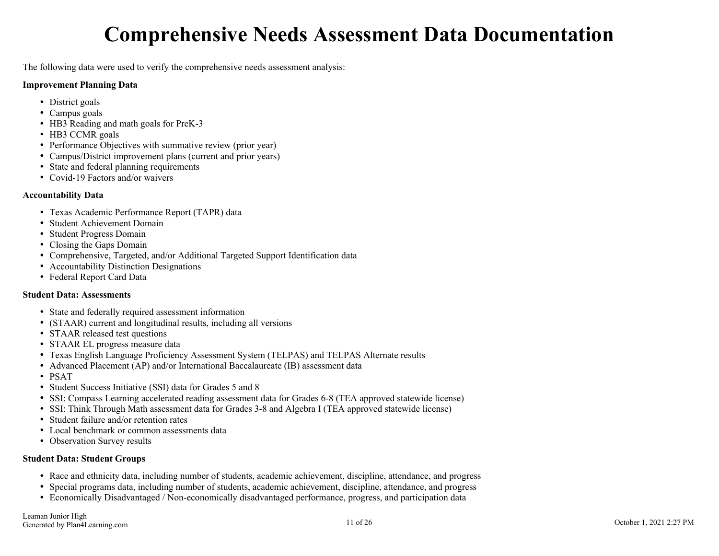## **Comprehensive Needs Assessment Data Documentation**

<span id="page-10-0"></span>The following data were used to verify the comprehensive needs assessment analysis:

#### **Improvement Planning Data**

- District goals
- Campus goals
- HB3 Reading and math goals for PreK-3
- HB3 CCMR goals
- Performance Objectives with summative review (prior year)
- Campus/District improvement plans (current and prior years)
- State and federal planning requirements
- Covid-19 Factors and/or waivers

### **Accountability Data**

- Texas Academic Performance Report (TAPR) data
- Student Achievement Domain
- Student Progress Domain
- Closing the Gaps Domain
- Comprehensive, Targeted, and/or Additional Targeted Support Identification data
- Accountability Distinction Designations
- Federal Report Card Data

## **Student Data: Assessments**

- State and federally required assessment information
- (STAAR) current and longitudinal results, including all versions
- STAAR released test questions
- STAAR EL progress measure data
- Texas English Language Proficiency Assessment System (TELPAS) and TELPAS Alternate results
- Advanced Placement (AP) and/or International Baccalaureate (IB) assessment data
- PSAT
- Student Success Initiative (SSI) data for Grades 5 and 8
- SSI: Compass Learning accelerated reading assessment data for Grades 6-8 (TEA approved statewide license)
- SSI: Think Through Math assessment data for Grades 3-8 and Algebra I (TEA approved statewide license)
- Student failure and/or retention rates
- Local benchmark or common assessments data
- Observation Survey results

## **Student Data: Student Groups**

- Race and ethnicity data, including number of students, academic achievement, discipline, attendance, and progress
- Special programs data, including number of students, academic achievement, discipline, attendance, and progress
- Economically Disadvantaged / Non-economically disadvantaged performance, progress, and participation data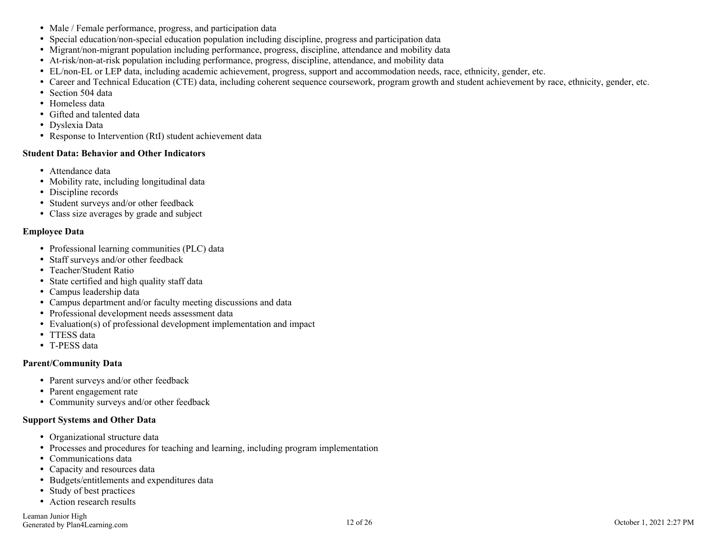- Male / Female performance, progress, and participation data
- Special education/non-special education population including discipline, progress and participation data
- Migrant/non-migrant population including performance, progress, discipline, attendance and mobility data
- At-risk/non-at-risk population including performance, progress, discipline, attendance, and mobility data
- EL/non-EL or LEP data, including academic achievement, progress, support and accommodation needs, race, ethnicity, gender, etc.
- Career and Technical Education (CTE) data, including coherent sequence coursework, program growth and student achievement by race, ethnicity, gender, etc.
- Section 504 data
- Homeless data
- Gifted and talented data
- Dyslexia Data
- Response to Intervention (RtI) student achievement data

#### **Student Data: Behavior and Other Indicators**

- Attendance data
- Mobility rate, including longitudinal data
- Discipline records
- Student surveys and/or other feedback
- Class size averages by grade and subject

#### **Employee Data**

- Professional learning communities (PLC) data
- Staff surveys and/or other feedback
- Teacher/Student Ratio
- State certified and high quality staff data
- Campus leadership data
- Campus department and/or faculty meeting discussions and data
- Professional development needs assessment data
- Evaluation(s) of professional development implementation and impact
- TTESS data
- T-PESS data

#### **Parent/Community Data**

- Parent surveys and/or other feedback
- Parent engagement rate
- Community surveys and/or other feedback

#### **Support Systems and Other Data**

- Organizational structure data
- Processes and procedures for teaching and learning, including program implementation
- Communications data
- Capacity and resources data
- Budgets/entitlements and expenditures data
- Study of best practices
- Action research results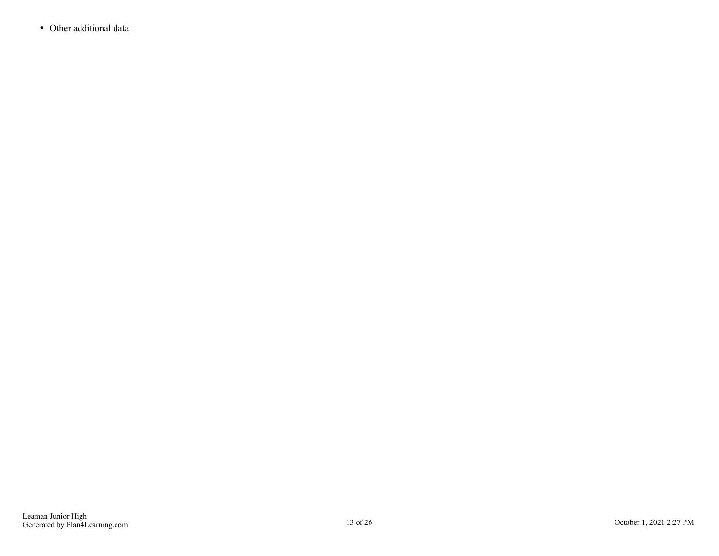Other additional data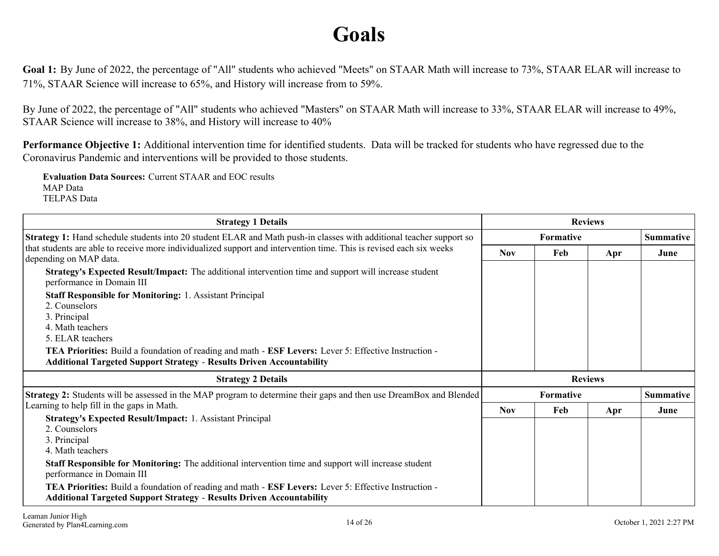## **Goals**

<span id="page-13-0"></span>Goal 1: By June of 2022, the percentage of "All" students who achieved "Meets" on STAAR Math will increase to 73%, STAAR ELAR will increase to 71%, STAAR Science will increase to 65%, and History will increase from to 59%.

By June of 2022, the percentage of "All" students who achieved "Masters" on STAAR Math will increase to 33%, STAAR ELAR will increase to 49%, STAAR Science will increase to 38%, and History will increase to 40%

**Performance Objective 1:** Additional intervention time for identified students. Data will be tracked for students who have regressed due to the Coronavirus Pandemic and interventions will be provided to those students.

**Evaluation Data Sources:** Current STAAR and EOC results MAP Data TELPAS Data

| <b>Strategy 1 Details</b>                                                                                                                                                                                                                                                                                                                      |            | <b>Reviews</b> |     |                  |
|------------------------------------------------------------------------------------------------------------------------------------------------------------------------------------------------------------------------------------------------------------------------------------------------------------------------------------------------|------------|----------------|-----|------------------|
| <b>Strategy 1:</b> Hand schedule students into 20 student ELAR and Math push-in classes with additional teacher support so                                                                                                                                                                                                                     |            | Formative      |     | <b>Summative</b> |
| that students are able to receive more individualized support and intervention time. This is revised each six weeks<br>depending on MAP data.                                                                                                                                                                                                  | <b>Nov</b> | Feb            | Apr | June             |
| Strategy's Expected Result/Impact: The additional intervention time and support will increase student<br>performance in Domain III                                                                                                                                                                                                             |            |                |     |                  |
| <b>Staff Responsible for Monitoring: 1. Assistant Principal</b><br>2. Counselors<br>3. Principal<br>4. Math teachers<br>5. ELAR teachers<br><b>TEA Priorities:</b> Build a foundation of reading and math - <b>ESF Levers:</b> Lever 5: Effective Instruction -<br><b>Additional Targeted Support Strategy - Results Driven Accountability</b> |            |                |     |                  |
| <b>Strategy 2 Details</b>                                                                                                                                                                                                                                                                                                                      |            | <b>Reviews</b> |     |                  |
| <b>Strategy 2:</b> Students will be assessed in the MAP program to determine their gaps and then use DreamBox and Blended                                                                                                                                                                                                                      |            | Formative      |     | <b>Summative</b> |
| Learning to help fill in the gaps in Math.                                                                                                                                                                                                                                                                                                     | <b>Nov</b> | Feb            | Apr | June             |
| <b>Strategy's Expected Result/Impact: 1. Assistant Principal</b><br>2. Counselors<br>3. Principal<br>4. Math teachers                                                                                                                                                                                                                          |            |                |     |                  |
| <b>Staff Responsible for Monitoring:</b> The additional intervention time and support will increase student<br>performance in Domain III                                                                                                                                                                                                       |            |                |     |                  |
| <b>TEA Priorities:</b> Build a foundation of reading and math - <b>ESF Levers:</b> Lever 5: Effective Instruction -<br><b>Additional Targeted Support Strategy - Results Driven Accountability</b>                                                                                                                                             |            |                |     |                  |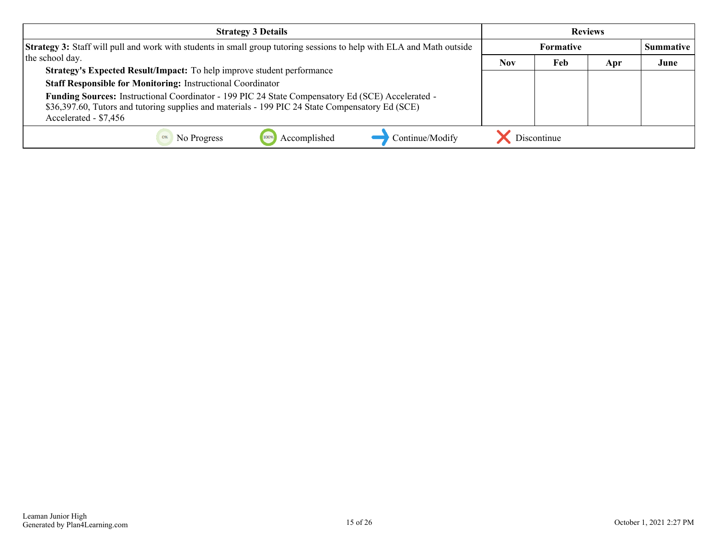| <b>Strategy 3 Details</b>                                                                                                                                                                                                      | <b>Reviews</b> |             |     |                  |
|--------------------------------------------------------------------------------------------------------------------------------------------------------------------------------------------------------------------------------|----------------|-------------|-----|------------------|
| Strategy 3: Staff will pull and work with students in small group tutoring sessions to help with ELA and Math outside                                                                                                          | Formative      |             |     | <b>Summative</b> |
| the school day.                                                                                                                                                                                                                | <b>Nov</b>     | Feb         | Apr | June             |
| Strategy's Expected Result/Impact: To help improve student performance                                                                                                                                                         |                |             |     |                  |
| <b>Staff Responsible for Monitoring: Instructional Coordinator</b>                                                                                                                                                             |                |             |     |                  |
| Funding Sources: Instructional Coordinator - 199 PIC 24 State Compensatory Ed (SCE) Accelerated -<br>\$36,397.60, Tutors and tutoring supplies and materials - 199 PIC 24 State Compensatory Ed (SCE)<br>Accelerated - \$7,456 |                |             |     |                  |
| Continue/Modify<br>Accomplished<br>No Progress                                                                                                                                                                                 |                | Discontinue |     |                  |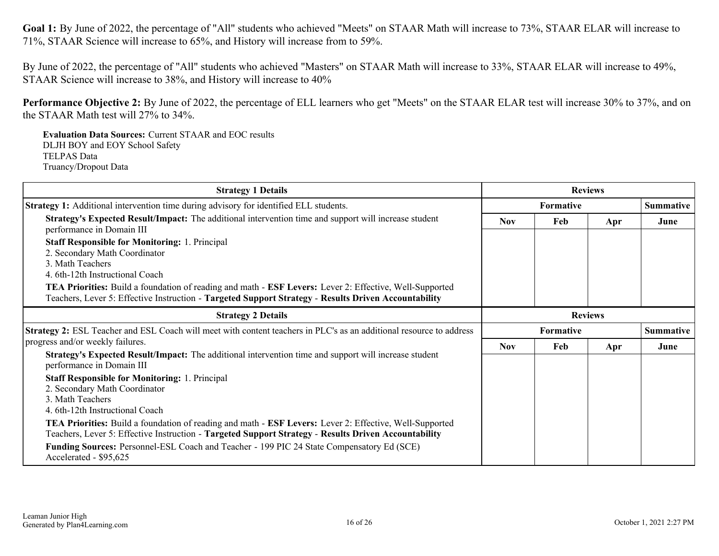Goal 1: By June of 2022, the percentage of "All" students who achieved "Meets" on STAAR Math will increase to 73%, STAAR ELAR will increase to 71%, STAAR Science will increase to 65%, and History will increase from to 59%.

By June of 2022, the percentage of "All" students who achieved "Masters" on STAAR Math will increase to 33%, STAAR ELAR will increase to 49%, STAAR Science will increase to 38%, and History will increase to 40%

**Performance Objective 2:** By June of 2022, the percentage of ELL learners who get "Meets" on the STAAR ELAR test will increase 30% to 37%, and on the STAAR Math test will 27% to 34%.

**Evaluation Data Sources:** Current STAAR and EOC results DLJH BOY and EOY School Safety TELPAS Data Truancy/Dropout Data

| <b>Strategy 1 Details</b>                                                                                                                                                                                                                                                                                                                                                                      |                | <b>Reviews</b> |     |                  |
|------------------------------------------------------------------------------------------------------------------------------------------------------------------------------------------------------------------------------------------------------------------------------------------------------------------------------------------------------------------------------------------------|----------------|----------------|-----|------------------|
| <b>Strategy 1:</b> Additional intervention time during advisory for identified ELL students.                                                                                                                                                                                                                                                                                                   |                | Formative      |     | <b>Summative</b> |
| Strategy's Expected Result/Impact: The additional intervention time and support will increase student<br>performance in Domain III                                                                                                                                                                                                                                                             | <b>Nov</b>     | Feb            | Apr | June             |
| <b>Staff Responsible for Monitoring: 1. Principal</b><br>2. Secondary Math Coordinator<br>3. Math Teachers<br>4. 6th-12th Instructional Coach<br>TEA Priorities: Build a foundation of reading and math - ESF Levers: Lever 2: Effective, Well-Supported<br>Teachers, Lever 5: Effective Instruction - Targeted Support Strategy - Results Driven Accountability                               |                |                |     |                  |
| <b>Strategy 2 Details</b>                                                                                                                                                                                                                                                                                                                                                                      | <b>Reviews</b> |                |     |                  |
| Strategy 2: ESL Teacher and ESL Coach will meet with content teachers in PLC's as an additional resource to address                                                                                                                                                                                                                                                                            |                | Formative      |     | <b>Summative</b> |
| progress and/or weekly failures.                                                                                                                                                                                                                                                                                                                                                               | <b>Nov</b>     | Feb            | Apr | June             |
| Strategy's Expected Result/Impact: The additional intervention time and support will increase student<br>performance in Domain III<br><b>Staff Responsible for Monitoring: 1. Principal</b><br>2. Secondary Math Coordinator<br>3. Math Teachers<br>4. 6th-12th Instructional Coach<br>TEA Priorities: Build a foundation of reading and math - ESF Levers: Lever 2: Effective, Well-Supported |                |                |     |                  |
| Teachers, Lever 5: Effective Instruction - Targeted Support Strategy - Results Driven Accountability                                                                                                                                                                                                                                                                                           |                |                |     |                  |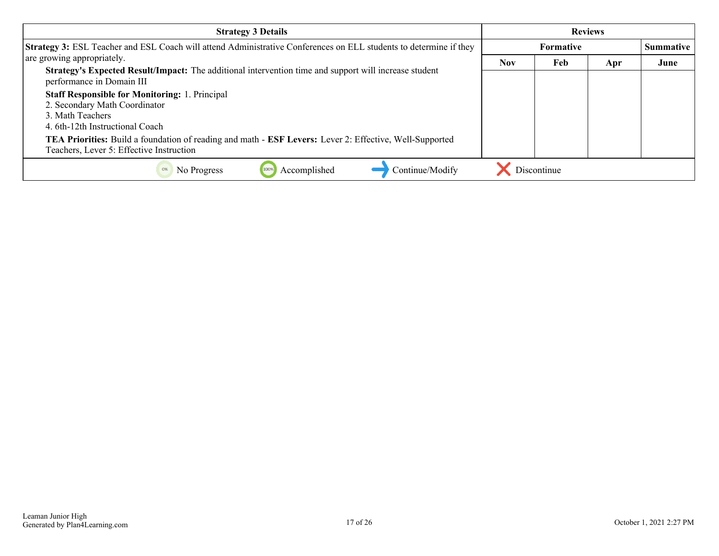| <b>Strategy 3 Details</b>                                                                                                                           |            |                  | <b>Reviews</b> |                  |
|-----------------------------------------------------------------------------------------------------------------------------------------------------|------------|------------------|----------------|------------------|
| Strategy 3: ESL Teacher and ESL Coach will attend Administrative Conferences on ELL students to determine if they                                   |            | <b>Formative</b> |                | <b>Summative</b> |
| are growing appropriately.                                                                                                                          | <b>Nov</b> | Feb              | Apr            | June             |
| Strategy's Expected Result/Impact: The additional intervention time and support will increase student<br>performance in Domain III                  |            |                  |                |                  |
| <b>Staff Responsible for Monitoring: 1. Principal</b>                                                                                               |            |                  |                |                  |
| 2. Secondary Math Coordinator                                                                                                                       |            |                  |                |                  |
| 3. Math Teachers                                                                                                                                    |            |                  |                |                  |
| 4. 6th-12th Instructional Coach                                                                                                                     |            |                  |                |                  |
| TEA Priorities: Build a foundation of reading and math - ESF Levers: Lever 2: Effective, Well-Supported<br>Teachers, Lever 5: Effective Instruction |            |                  |                |                  |
| Continue/Modify<br>Accomplished<br>No Progress                                                                                                      |            | Discontinue      |                |                  |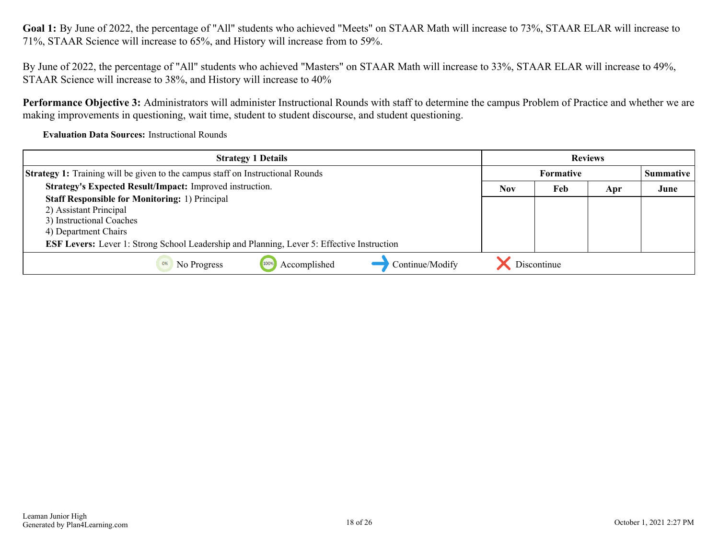Goal 1: By June of 2022, the percentage of "All" students who achieved "Meets" on STAAR Math will increase to 73%, STAAR ELAR will increase to 71%, STAAR Science will increase to 65%, and History will increase from to 59%.

By June of 2022, the percentage of "All" students who achieved "Masters" on STAAR Math will increase to 33%, STAAR ELAR will increase to 49%, STAAR Science will increase to 38%, and History will increase to 40%

**Performance Objective 3:** Administrators will administer Instructional Rounds with staff to determine the campus Problem of Practice and whether we are making improvements in questioning, wait time, student to student discourse, and student questioning.

**Evaluation Data Sources:** Instructional Rounds

| <b>Strategy 1 Details</b>                                                                                                                                                                                                                | <b>Reviews</b>   |             |     |                  |
|------------------------------------------------------------------------------------------------------------------------------------------------------------------------------------------------------------------------------------------|------------------|-------------|-----|------------------|
| <b>Strategy 1:</b> Training will be given to the campus staff on Instructional Rounds                                                                                                                                                    | <b>Formative</b> |             |     | <b>Summative</b> |
| Strategy's Expected Result/Impact: Improved instruction.                                                                                                                                                                                 | <b>Nov</b>       | Feb         | Apr | June             |
| <b>Staff Responsible for Monitoring: 1) Principal</b><br>2) Assistant Principal<br>3) Instructional Coaches<br>4) Department Chairs<br><b>ESF Levers:</b> Lever 1: Strong School Leadership and Planning, Lever 5: Effective Instruction |                  |             |     |                  |
| Accomplished<br>Continue/Modify<br>100%<br>No Progress<br>0%                                                                                                                                                                             |                  | Discontinue |     |                  |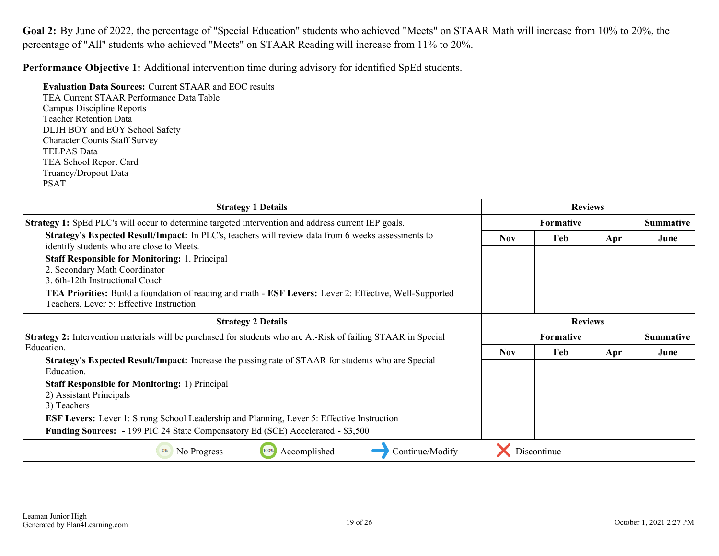<span id="page-18-0"></span>**Goal 2:** By June of 2022, the percentage of "Special Education" students who achieved "Meets" on STAAR Math will increase from 10% to 20%, the percentage of "All" students who achieved "Meets" on STAAR Reading will increase from 11% to 20%.

**Performance Objective 1:** Additional intervention time during advisory for identified SpEd students.

**Evaluation Data Sources:** Current STAAR and EOC results TEA Current STAAR Performance Data Table Campus Discipline Reports Teacher Retention Data DLJH BOY and EOY School Safety Character Counts Staff Survey TELPAS Data TEA School Report Card Truancy/Dropout Data PSAT

| <b>Strategy 1 Details</b>                                                                                                                                         | <b>Reviews</b> |                  |                |                  |
|-------------------------------------------------------------------------------------------------------------------------------------------------------------------|----------------|------------------|----------------|------------------|
| <b>Strategy 1:</b> SpEd PLC's will occur to determine targeted intervention and address current IEP goals.                                                        |                | Formative        |                | <b>Summative</b> |
| Strategy's Expected Result/Impact: In PLC's, teachers will review data from 6 weeks assessments to<br>identify students who are close to Meets.                   | <b>Nov</b>     | Feb              | Apr            | June             |
| <b>Staff Responsible for Monitoring: 1. Principal</b><br>2. Secondary Math Coordinator<br>3. 6th-12th Instructional Coach                                         |                |                  |                |                  |
| <b>TEA Priorities:</b> Build a foundation of reading and math - <b>ESF Levers:</b> Lever 2: Effective, Well-Supported<br>Teachers, Lever 5: Effective Instruction |                |                  |                |                  |
| <b>Strategy 2 Details</b>                                                                                                                                         |                |                  | <b>Reviews</b> |                  |
|                                                                                                                                                                   |                |                  |                |                  |
| <b>Strategy 2:</b> Intervention materials will be purchased for students who are At-Risk of failing STAAR in Special                                              |                | <b>Formative</b> |                | <b>Summative</b> |
| Education.                                                                                                                                                        | <b>Nov</b>     | Feb              | Apr            | June             |
| Strategy's Expected Result/Impact: Increase the passing rate of STAAR for students who are Special<br>Education.                                                  |                |                  |                |                  |
| <b>Staff Responsible for Monitoring: 1) Principal</b><br>2) Assistant Principals<br>3) Teachers                                                                   |                |                  |                |                  |
| <b>ESF Levers:</b> Lever 1: Strong School Leadership and Planning, Lever 5: Effective Instruction                                                                 |                |                  |                |                  |
| <b>Funding Sources:</b> - 199 PIC 24 State Compensatory Ed (SCE) Accelerated - \$3,500                                                                            |                |                  |                |                  |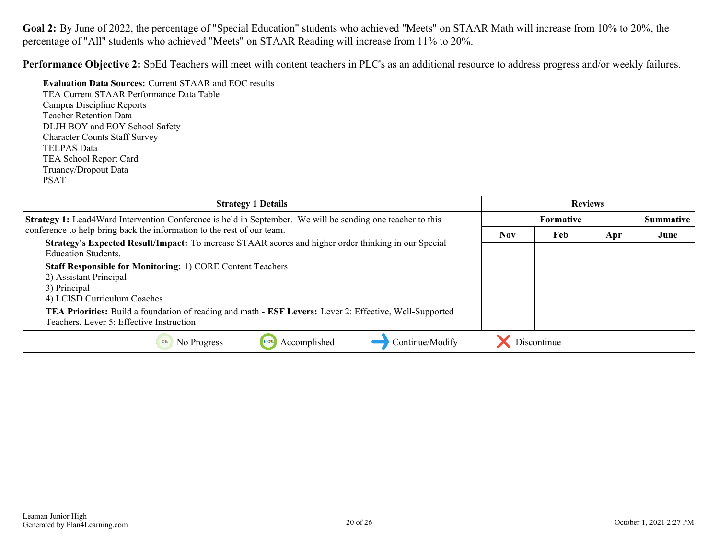Goal 2: By June of 2022, the percentage of "Special Education" students who achieved "Meets" on STAAR Math will increase from 10% to 20%, the percentage of "All" students who achieved "Meets" on STAAR Reading will increase from 11% to 20%.

**Performance Objective 2:** SpEd Teachers will meet with content teachers in PLC's as an additional resource to address progress and/or weekly failures.

**Evaluation Data Sources:** Current STAAR and EOC results TEA Current STAAR Performance Data Table Campus Discipline Reports Teacher Retention Data DLJH BOY and EOY School Safety Character Counts Staff Survey TELPAS Data TEA School Report Card Truancy/Dropout Data PSAT

| <b>Strategy 1 Details</b>                                                                                                                           |                  |             | <b>Reviews</b>   |      |
|-----------------------------------------------------------------------------------------------------------------------------------------------------|------------------|-------------|------------------|------|
| <b>Strategy 1:</b> Lead4Ward Intervention Conference is held in September. We will be sending one teacher to this                                   | <b>Formative</b> |             | <b>Summative</b> |      |
| conference to help bring back the information to the rest of our team.                                                                              | <b>Nov</b>       | Feb         | Apr              | June |
| Strategy's Expected Result/Impact: To increase STAAR scores and higher order thinking in our Special<br><b>Education Students.</b>                  |                  |             |                  |      |
| <b>Staff Responsible for Monitoring: 1) CORE Content Teachers</b><br>2) Assistant Principal<br>3) Principal<br>4) LCISD Curriculum Coaches          |                  |             |                  |      |
| TEA Priorities: Build a foundation of reading and math - ESF Levers: Lever 2: Effective, Well-Supported<br>Teachers, Lever 5: Effective Instruction |                  |             |                  |      |
| Accomplished<br>Continue/Modify<br>No Progress<br>100%                                                                                              |                  | Discontinue |                  |      |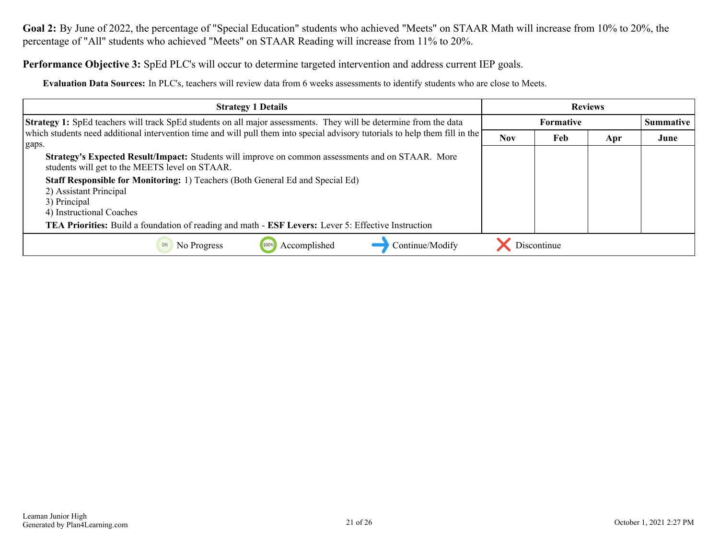**Goal 2:** By June of 2022, the percentage of "Special Education" students who achieved "Meets" on STAAR Math will increase from 10% to 20%, the percentage of "All" students who achieved "Meets" on STAAR Reading will increase from 11% to 20%.

**Performance Objective 3:** SpEd PLC's will occur to determine targeted intervention and address current IEP goals.

**Evaluation Data Sources:** In PLC's, teachers will review data from 6 weeks assessments to identify students who are close to Meets.

| <b>Strategy 1 Details</b>                                                                                                                            |            |                  | <b>Reviews</b> |                  |
|------------------------------------------------------------------------------------------------------------------------------------------------------|------------|------------------|----------------|------------------|
| <b>Strategy 1:</b> SpEd teachers will track SpEd students on all major assessments. They will be determine from the data                             |            | <b>Formative</b> |                | <b>Summative</b> |
| which students need additional intervention time and will pull them into special advisory tutorials to help them fill in the<br>gaps.                | <b>Nov</b> | Feb              | Apr            | June             |
| Strategy's Expected Result/Impact: Students will improve on common assessments and on STAAR. More<br>students will get to the MEETS level on STAAR.  |            |                  |                |                  |
| Staff Responsible for Monitoring: 1) Teachers (Both General Ed and Special Ed)<br>2) Assistant Principal<br>3) Principal<br>4) Instructional Coaches |            |                  |                |                  |
| TEA Priorities: Build a foundation of reading and math - ESF Levers: Lever 5: Effective Instruction                                                  |            |                  |                |                  |
| Continue/Modify<br>Accomplished<br>0%<br>No Progress                                                                                                 |            | Discontinue      |                |                  |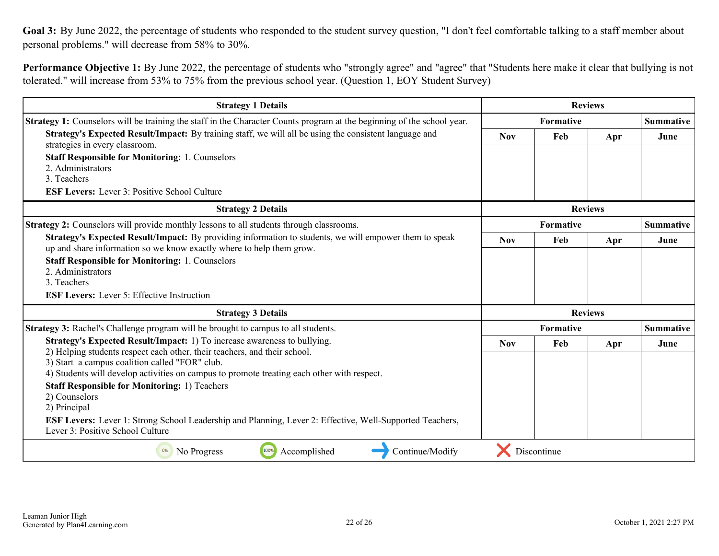<span id="page-21-0"></span>Goal 3: By June 2022, the percentage of students who responded to the student survey question, "I don't feel comfortable talking to a staff member about personal problems." will decrease from 58% to 30%.

**Performance Objective 1:** By June 2022, the percentage of students who "strongly agree" and "agree" that "Students here make it clear that bullying is not tolerated." will increase from 53% to 75% from the previous school year. (Question 1, EOY Student Survey)

| <b>Strategy 1 Details</b>                                                                                                                                                                                                                                                                             | <b>Reviews</b> |             |                |                  |
|-------------------------------------------------------------------------------------------------------------------------------------------------------------------------------------------------------------------------------------------------------------------------------------------------------|----------------|-------------|----------------|------------------|
| <b>Strategy 1:</b> Counselors will be training the staff in the Character Counts program at the beginning of the school year.                                                                                                                                                                         | Formative      |             |                | <b>Summative</b> |
| Strategy's Expected Result/Impact: By training staff, we will all be using the consistent language and<br>strategies in every classroom.                                                                                                                                                              | <b>Nov</b>     | Feb         | Apr            | June             |
| <b>Staff Responsible for Monitoring: 1. Counselors</b><br>2. Administrators                                                                                                                                                                                                                           |                |             |                |                  |
| 3. Teachers<br><b>ESF Levers:</b> Lever 3: Positive School Culture                                                                                                                                                                                                                                    |                |             |                |                  |
| <b>Strategy 2 Details</b>                                                                                                                                                                                                                                                                             |                |             | <b>Reviews</b> |                  |
| <b>Strategy 2:</b> Counselors will provide monthly lessons to all students through classrooms.                                                                                                                                                                                                        |                | Formative   |                | <b>Summative</b> |
| Strategy's Expected Result/Impact: By providing information to students, we will empower them to speak<br>up and share information so we know exactly where to help them grow.                                                                                                                        | <b>Nov</b>     | Feb         | Apr            | June             |
| <b>Staff Responsible for Monitoring: 1. Counselors</b><br>2. Administrators<br>3. Teachers<br><b>ESF Levers:</b> Lever 5: Effective Instruction                                                                                                                                                       |                |             |                |                  |
| <b>Strategy 3 Details</b>                                                                                                                                                                                                                                                                             |                |             | <b>Reviews</b> |                  |
| Strategy 3: Rachel's Challenge program will be brought to campus to all students.                                                                                                                                                                                                                     |                | Formative   |                | <b>Summative</b> |
| Strategy's Expected Result/Impact: 1) To increase awareness to bullying.<br>2) Helping students respect each other, their teachers, and their school.<br>3) Start a campus coalition called "FOR" club.<br>4) Students will develop activities on campus to promote treating each other with respect. | <b>Nov</b>     | Feb         | Apr            | June             |
| <b>Staff Responsible for Monitoring: 1) Teachers</b><br>2) Counselors<br>2) Principal                                                                                                                                                                                                                 |                |             |                |                  |
| <b>ESF Levers:</b> Lever 1: Strong School Leadership and Planning, Lever 2: Effective, Well-Supported Teachers,<br>Lever 3: Positive School Culture                                                                                                                                                   |                |             |                |                  |
| 100%<br>Continue/Modify<br>Accomplished<br>No Progress<br>0%                                                                                                                                                                                                                                          |                | Discontinue |                |                  |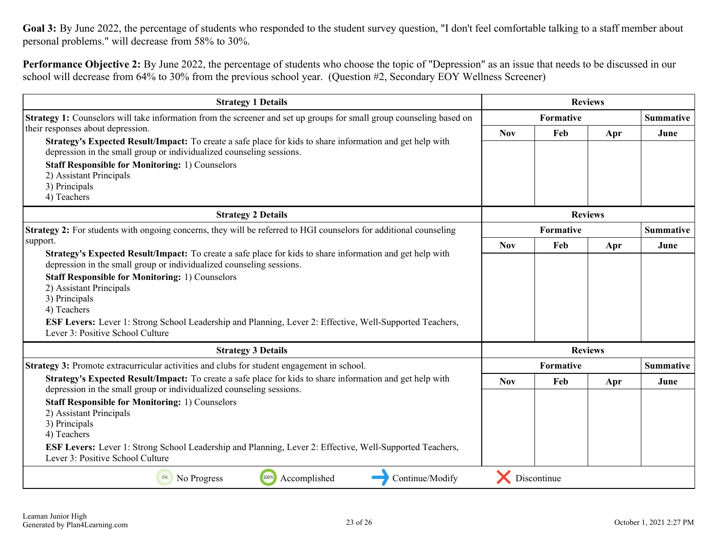Goal 3: By June 2022, the percentage of students who responded to the student survey question, "I don't feel comfortable talking to a staff member about personal problems." will decrease from 58% to 30%.

**Performance Objective 2:** By June 2022, the percentage of students who choose the topic of "Depression" as an issue that needs to be discussed in our school will decrease from 64% to 30% from the previous school year. (Question #2, Secondary EOY Wellness Screener)

| <b>Strategy 1 Details</b>                                                                                                                                                                                                                                                                                                                                                                                                                                                 |            | <b>Reviews</b> |                |                  |
|---------------------------------------------------------------------------------------------------------------------------------------------------------------------------------------------------------------------------------------------------------------------------------------------------------------------------------------------------------------------------------------------------------------------------------------------------------------------------|------------|----------------|----------------|------------------|
| <b>Strategy 1:</b> Counselors will take information from the screener and set up groups for small group counseling based on                                                                                                                                                                                                                                                                                                                                               |            | Formative      |                |                  |
| their responses about depression.<br>Strategy's Expected Result/Impact: To create a safe place for kids to share information and get help with<br>depression in the small group or individualized counseling sessions.                                                                                                                                                                                                                                                    | <b>Nov</b> | Feb            | Apr            | June             |
| <b>Staff Responsible for Monitoring: 1) Counselors</b><br>2) Assistant Principals<br>3) Principals<br>4) Teachers                                                                                                                                                                                                                                                                                                                                                         |            |                |                |                  |
| <b>Strategy 2 Details</b>                                                                                                                                                                                                                                                                                                                                                                                                                                                 |            |                | <b>Reviews</b> |                  |
| <b>Strategy 2:</b> For students with ongoing concerns, they will be referred to HGI counselors for additional counseling                                                                                                                                                                                                                                                                                                                                                  |            | Formative      |                | <b>Summative</b> |
| support.<br>Strategy's Expected Result/Impact: To create a safe place for kids to share information and get help with<br>depression in the small group or individualized counseling sessions.<br><b>Staff Responsible for Monitoring: 1) Counselors</b><br>2) Assistant Principals<br>3) Principals<br>4) Teachers<br><b>ESF Levers:</b> Lever 1: Strong School Leadership and Planning, Lever 2: Effective, Well-Supported Teachers,<br>Lever 3: Positive School Culture | <b>Nov</b> | Feb            | Apr            | June             |
| <b>Strategy 3 Details</b>                                                                                                                                                                                                                                                                                                                                                                                                                                                 |            | <b>Reviews</b> |                |                  |
| Strategy 3: Promote extracurricular activities and clubs for student engagement in school.                                                                                                                                                                                                                                                                                                                                                                                |            | Formative      |                | <b>Summative</b> |
| Strategy's Expected Result/Impact: To create a safe place for kids to share information and get help with<br>depression in the small group or individualized counseling sessions.<br><b>Staff Responsible for Monitoring: 1) Counselors</b><br>2) Assistant Principals<br>3) Principals<br>4) Teachers<br><b>ESF Levers:</b> Lever 1: Strong School Leadership and Planning, Lever 2: Effective, Well-Supported Teachers,<br>Lever 3: Positive School Culture             | <b>Nov</b> | Feb            | Apr            | June             |
| 100%<br>Accomplished<br>Continue/Modify<br>No Progress<br>0%                                                                                                                                                                                                                                                                                                                                                                                                              |            | Discontinue    |                |                  |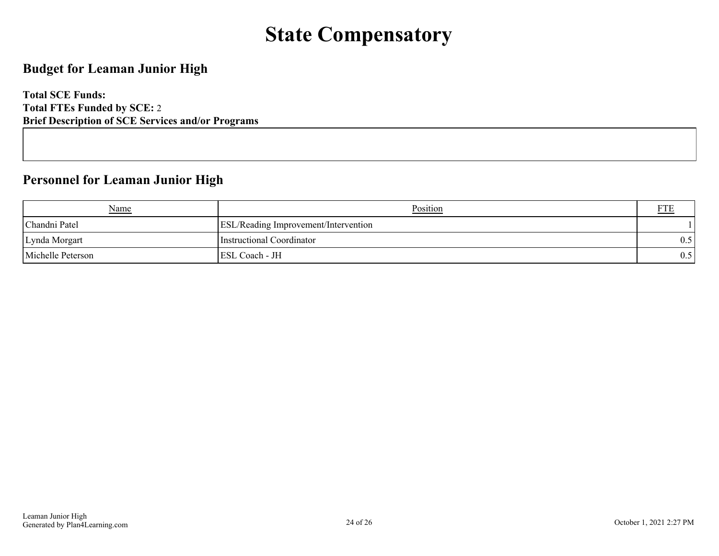## **State Compensatory**

## <span id="page-23-0"></span>**Budget for Leaman Junior High**

**Total SCE Funds: Total FTEs Funded by SCE:** 2 **Brief Description of SCE Services and/or Programs**

## **Personnel for Leaman Junior High**

| Name              | Position                                    |     |
|-------------------|---------------------------------------------|-----|
| Chandni Patel     | <b>ESL/Reading Improvement/Intervention</b> |     |
| Lynda Morgart     | Instructional Coordinator                   | 0.5 |
| Michelle Peterson | <b>ESL Coach - JH</b>                       | 0.5 |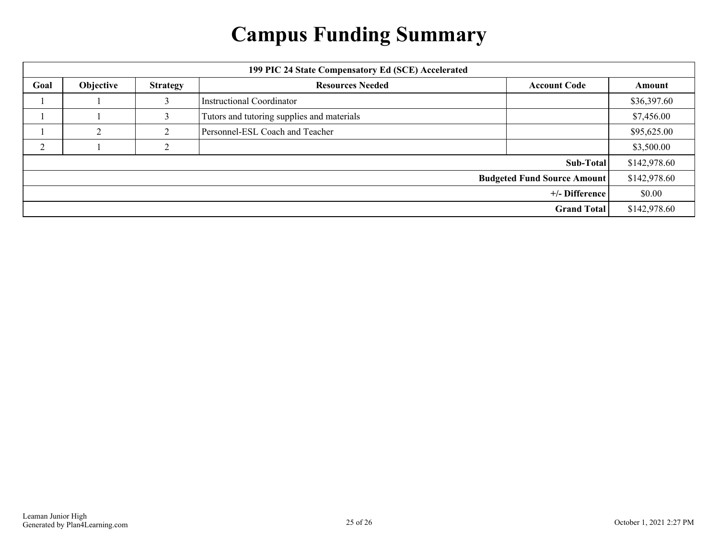## **Campus Funding Summary**

<span id="page-24-0"></span>

| 199 PIC 24 State Compensatory Ed (SCE) Accelerated |           |                 |                                            |                     |              |
|----------------------------------------------------|-----------|-----------------|--------------------------------------------|---------------------|--------------|
| Goal                                               | Objective | <b>Strategy</b> | <b>Resources Needed</b>                    | <b>Account Code</b> | Amount       |
|                                                    |           | 3               | <b>Instructional Coordinator</b>           |                     | \$36,397.60  |
|                                                    |           |                 | Tutors and tutoring supplies and materials |                     | \$7,456.00   |
|                                                    |           |                 | Personnel-ESL Coach and Teacher            |                     | \$95,625.00  |
| ◠                                                  |           | <sup>1</sup>    |                                            |                     | \$3,500.00   |
| Sub-Total                                          |           |                 |                                            |                     | \$142,978.60 |
| <b>Budgeted Fund Source Amount</b>                 |           |                 |                                            |                     | \$142,978.60 |
| +/- Difference                                     |           |                 |                                            |                     | \$0.00       |
| <b>Grand Total</b>                                 |           |                 |                                            |                     | \$142,978.60 |